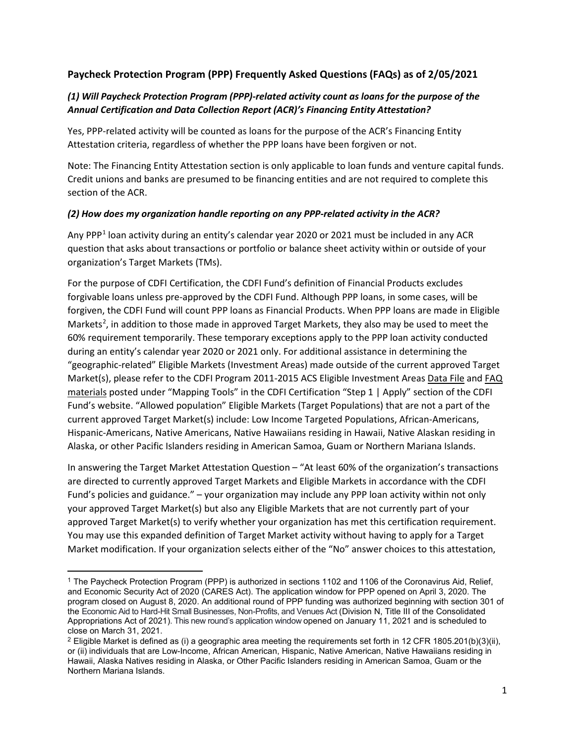## **Paycheck Protection Program (PPP) Frequently Asked Questions (FAQs) as of 2/05/2021**

## *(1) Will Paycheck Protection Program (PPP)-related activity count as loans for the purpose of the Annual Certification and Data Collection Report (ACR)'s Financing Entity Attestation?*

Yes, PPP-related activity will be counted as loans for the purpose of the ACR's Financing Entity Attestation criteria, regardless of whether the PPP loans have been forgiven or not.

Note: The Financing Entity Attestation section is only applicable to loan funds and venture capital funds. Credit unions and banks are presumed to be financing entities and are not required to complete this section of the ACR.

#### *(2) How does my organization handle reporting on any PPP-related activity in the ACR?*

Any PPP<sup>[1](#page-0-0)</sup> loan activity during an entity's calendar year 2020 or 2021 must be included in any ACR question that asks about transactions or portfolio or balance sheet activity within or outside of your organization's Target Markets (TMs).

For the purpose of CDFI Certification, the CDFI Fund's definition of Financial Products excludes forgivable loans unless pre-approved by the CDFI Fund. Although PPP loans, in some cases, will be forgiven, the CDFI Fund will count PPP loans as Financial Products. When PPP loans are made in Eligible Markets<sup>2</sup>, in addition to those made in approved Target Markets, they also may be used to meet the 60% requirement temporarily. These temporary exceptions apply to the PPP loan activity conducted during an entity's calendar year 2020 or 2021 only. For additional assistance in determining the "geographic-related" Eligible Markets (Investment Areas) made outside of the current approved Target Market(s), please refer to the CDFI Program 2011-2015 ACS Eligible Investment Area[s Data File](https://www.cdfifund.gov/sites/cdfi/files/documents/cdfi-investment-areas-acs-2011-2015.xlsb) and [FAQ](https://www.cdfifund.gov/sites/cdfi/files/documents/cdfi-investment-areas-potential-faqs-final-100118.pdf)  [materials](https://www.cdfifund.gov/sites/cdfi/files/documents/cdfi-investment-areas-potential-faqs-final-100118.pdf) posted under "Mapping Tools" in the CDFI Certification "Step 1 | Apply" section of the CDFI Fund's website. "Allowed population" Eligible Markets (Target Populations) that are not a part of the current approved Target Market(s) include: Low Income Targeted Populations, African-Americans, Hispanic-Americans, Native Americans, Native Hawaiians residing in Hawaii, Native Alaskan residing in Alaska, or other Pacific Islanders residing in American Samoa, Guam or Northern Mariana Islands.

In answering the Target Market Attestation Question – "At least 60% of the organization's transactions are directed to currently approved Target Markets and Eligible Markets in accordance with the CDFI Fund's policies and guidance." – your organization may include any PPP loan activity within not only your approved Target Market(s) but also any Eligible Markets that are not currently part of your approved Target Market(s) to verify whether your organization has met this certification requirement. You may use this expanded definition of Target Market activity without having to apply for a Target Market modification. If your organization selects either of the "No" answer choices to this attestation,

<span id="page-0-0"></span> $\overline{\phantom{a}}$ <sup>1</sup> The Paycheck Protection Program (PPP) is authorized in sections 1102 and 1106 of the Coronavirus Aid, Relief, and Economic Security Act of 2020 (CARES Act). The application window for PPP opened on April 3, 2020. The program closed on August 8, 2020. An additional round of PPP funding was authorized beginning with section 301 of the Economic Aid to Hard-Hit Small Businesses, Non-Profits, and Venues Act (Division N, Title III of the Consolidated Appropriations Act of 2021). This new round's application window opened on January 11, 2021 and is scheduled to close on March 31, 2021.

<span id="page-0-1"></span><sup>&</sup>lt;sup>2</sup> Eligible Market is defined as (i) a geographic area meeting the requirements set forth in 12 CFR 1805.201(b)(3)(ii), or (ii) individuals that are Low-Income, African American, Hispanic, Native American, Native Hawaiians residing in Hawaii, Alaska Natives residing in Alaska, or Other Pacific Islanders residing in American Samoa, Guam or the Northern Mariana Islands.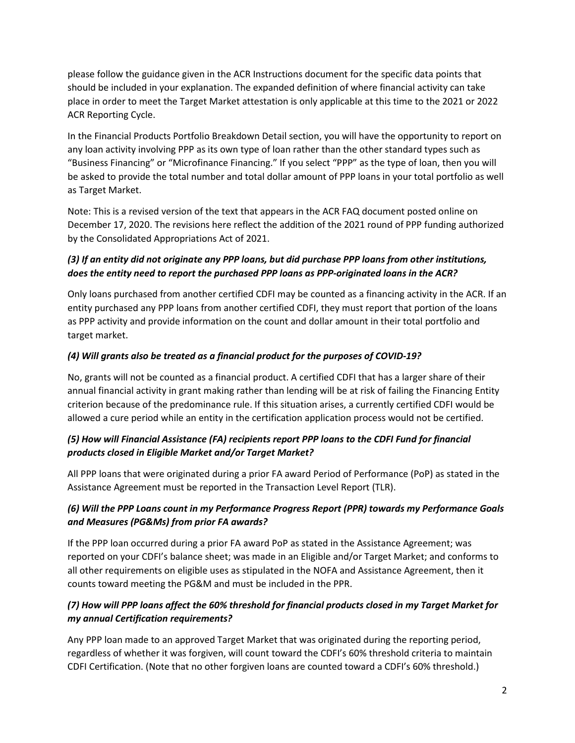please follow the guidance given in the ACR Instructions document for the specific data points that should be included in your explanation. The expanded definition of where financial activity can take place in order to meet the Target Market attestation is only applicable at this time to the 2021 or 2022 ACR Reporting Cycle.

In the Financial Products Portfolio Breakdown Detail section, you will have the opportunity to report on any loan activity involving PPP as its own type of loan rather than the other standard types such as "Business Financing" or "Microfinance Financing." If you select "PPP" as the type of loan, then you will be asked to provide the total number and total dollar amount of PPP loans in your total portfolio as well as Target Market.

Note: This is a revised version of the text that appears in the ACR FAQ document posted online on December 17, 2020. The revisions here reflect the addition of the 2021 round of PPP funding authorized by the Consolidated Appropriations Act of 2021.

# *(3) If an entity did not originate any PPP loans, but did purchase PPP loans from other institutions, does the entity need to report the purchased PPP loans as PPP-originated loans in the ACR?*

Only loans purchased from another certified CDFI may be counted as a financing activity in the ACR. If an entity purchased any PPP loans from another certified CDFI, they must report that portion of the loans as PPP activity and provide information on the count and dollar amount in their total portfolio and target market.

# *(4) Will grants also be treated as a financial product for the purposes of COVID-19?*

No, grants will not be counted as a financial product. A certified CDFI that has a larger share of their annual financial activity in grant making rather than lending will be at risk of failing the Financing Entity criterion because of the predominance rule. If this situation arises, a currently certified CDFI would be allowed a cure period while an entity in the certification application process would not be certified.

# *(5) How will Financial Assistance (FA) recipients report PPP loans to the CDFI Fund for financial products closed in Eligible Market and/or Target Market?*

All PPP loans that were originated during a prior FA award Period of Performance (PoP) as stated in the Assistance Agreement must be reported in the Transaction Level Report (TLR).

# *(6) Will the PPP Loans count in my Performance Progress Report (PPR) towards my Performance Goals and Measures (PG&Ms) from prior FA awards?*

If the PPP loan occurred during a prior FA award PoP as stated in the Assistance Agreement; was reported on your CDFI's balance sheet; was made in an Eligible and/or Target Market; and conforms to all other requirements on eligible uses as stipulated in the NOFA and Assistance Agreement, then it counts toward meeting the PG&M and must be included in the PPR.

# *(7) How will PPP loans affect the 60% threshold for financial products closed in my Target Market for my annual Certification requirements?*

Any PPP loan made to an approved Target Market that was originated during the reporting period, regardless of whether it was forgiven, will count toward the CDFI's 60% threshold criteria to maintain CDFI Certification. (Note that no other forgiven loans are counted toward a CDFI's 60% threshold.)